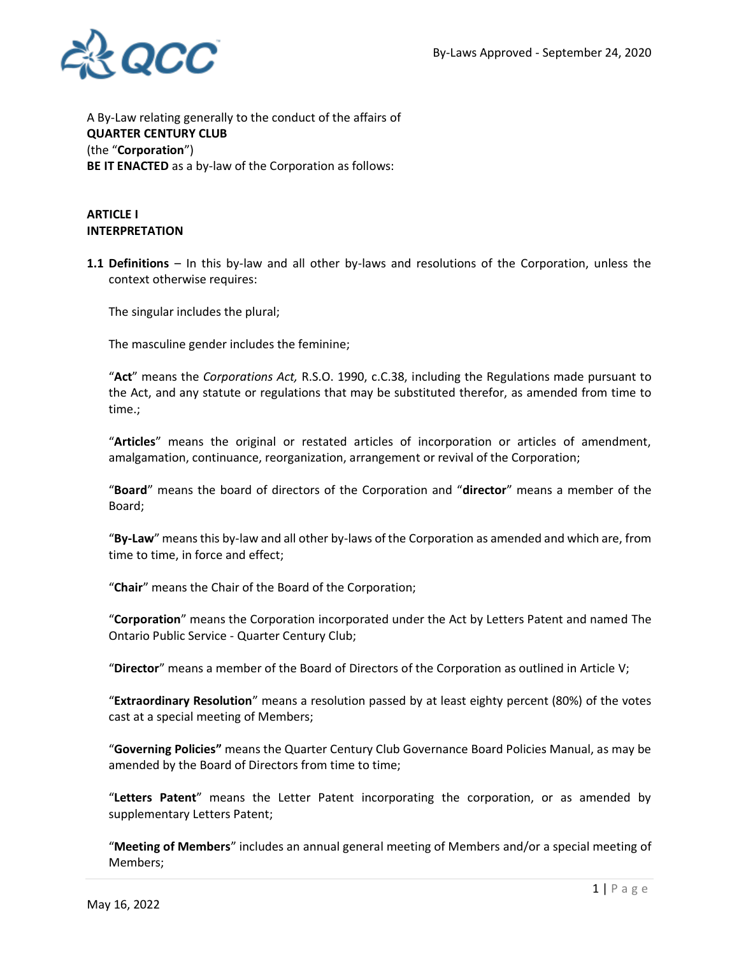

A By-Law relating generally to the conduct of the affairs of **QUARTER CENTURY CLUB** (the "**Corporation**") **BE IT ENACTED** as a by-law of the Corporation as follows:

## **ARTICLE I INTERPRETATION**

**1.1 Definitions** – In this by-law and all other by-laws and resolutions of the Corporation, unless the context otherwise requires:

The singular includes the plural;

The masculine gender includes the feminine;

"**Act**" means the *Corporations Act,* R.S.O. 1990, c.C.38, including the Regulations made pursuant to the Act, and any statute or regulations that may be substituted therefor, as amended from time to time.;

"**Articles**" means the original or restated articles of incorporation or articles of amendment, amalgamation, continuance, reorganization, arrangement or revival of the Corporation;

"**Board**" means the board of directors of the Corporation and "**director**" means a member of the Board;

"**By-Law**" means this by-law and all other by-laws of the Corporation as amended and which are, from time to time, in force and effect;

"**Chair**" means the Chair of the Board of the Corporation;

"**Corporation**" means the Corporation incorporated under the Act by Letters Patent and named The Ontario Public Service - Quarter Century Club;

"**Director**" means a member of the Board of Directors of the Corporation as outlined in Article V;

"**Extraordinary Resolution**" means a resolution passed by at least eighty percent (80%) of the votes cast at a special meeting of Members;

"**Governing Policies"** means the Quarter Century Club Governance Board Policies Manual, as may be amended by the Board of Directors from time to time;

"**Letters Patent**" means the Letter Patent incorporating the corporation, or as amended by supplementary Letters Patent;

"**Meeting of Members**" includes an annual general meeting of Members and/or a special meeting of Members;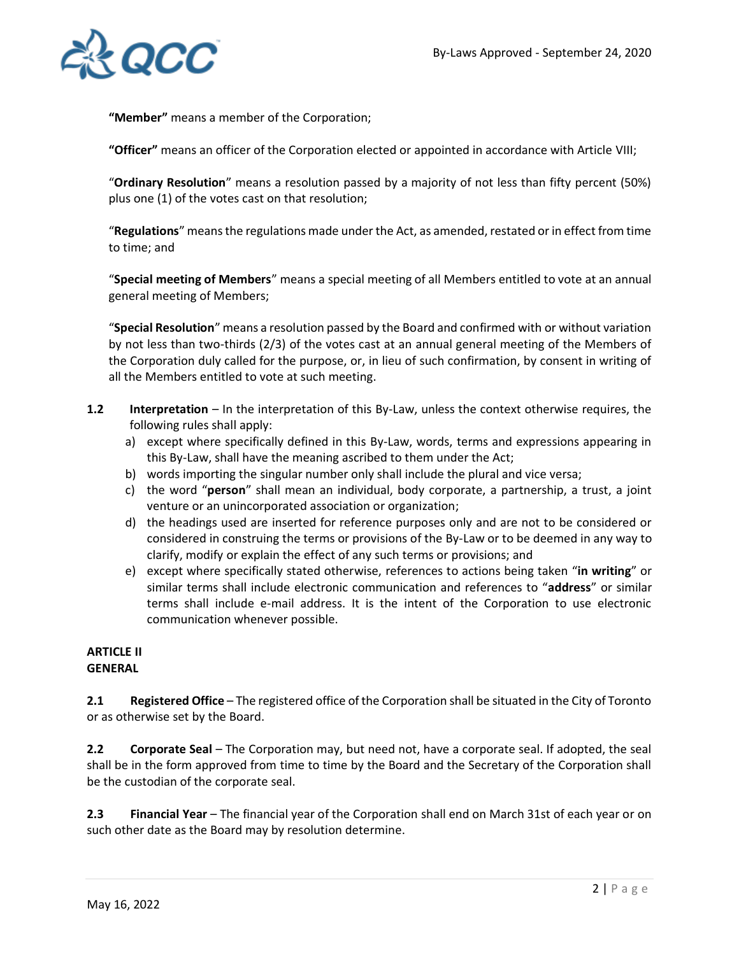

**"Member"** means a member of the Corporation;

**"Officer"** means an officer of the Corporation elected or appointed in accordance with Article VIII;

"**Ordinary Resolution**" means a resolution passed by a majority of not less than fifty percent (50%) plus one (1) of the votes cast on that resolution;

"**Regulations**" means the regulations made under the Act, as amended, restated or in effect from time to time; and

"**Special meeting of Members**" means a special meeting of all Members entitled to vote at an annual general meeting of Members;

"**Special Resolution**" means a resolution passed by the Board and confirmed with or without variation by not less than two-thirds (2/3) of the votes cast at an annual general meeting of the Members of the Corporation duly called for the purpose, or, in lieu of such confirmation, by consent in writing of all the Members entitled to vote at such meeting.

- **1.2** Interpretation In the interpretation of this By-Law, unless the context otherwise requires, the following rules shall apply:
	- a) except where specifically defined in this By-Law, words, terms and expressions appearing in this By-Law, shall have the meaning ascribed to them under the Act;
	- b) words importing the singular number only shall include the plural and vice versa;
	- c) the word "**person**" shall mean an individual, body corporate, a partnership, a trust, a joint venture or an unincorporated association or organization;
	- d) the headings used are inserted for reference purposes only and are not to be considered or considered in construing the terms or provisions of the By-Law or to be deemed in any way to clarify, modify or explain the effect of any such terms or provisions; and
	- e) except where specifically stated otherwise, references to actions being taken "**in writing**" or similar terms shall include electronic communication and references to "**address**" or similar terms shall include e-mail address. It is the intent of the Corporation to use electronic communication whenever possible.

#### **ARTICLE II GENERAL**

**2.1 Registered Office** – The registered office of the Corporation shall be situated in the City of Toronto or as otherwise set by the Board.

**2.2 Corporate Seal** – The Corporation may, but need not, have a corporate seal. If adopted, the seal shall be in the form approved from time to time by the Board and the Secretary of the Corporation shall be the custodian of the corporate seal.

**2.3 Financial Year** – The financial year of the Corporation shall end on March 31st of each year or on such other date as the Board may by resolution determine.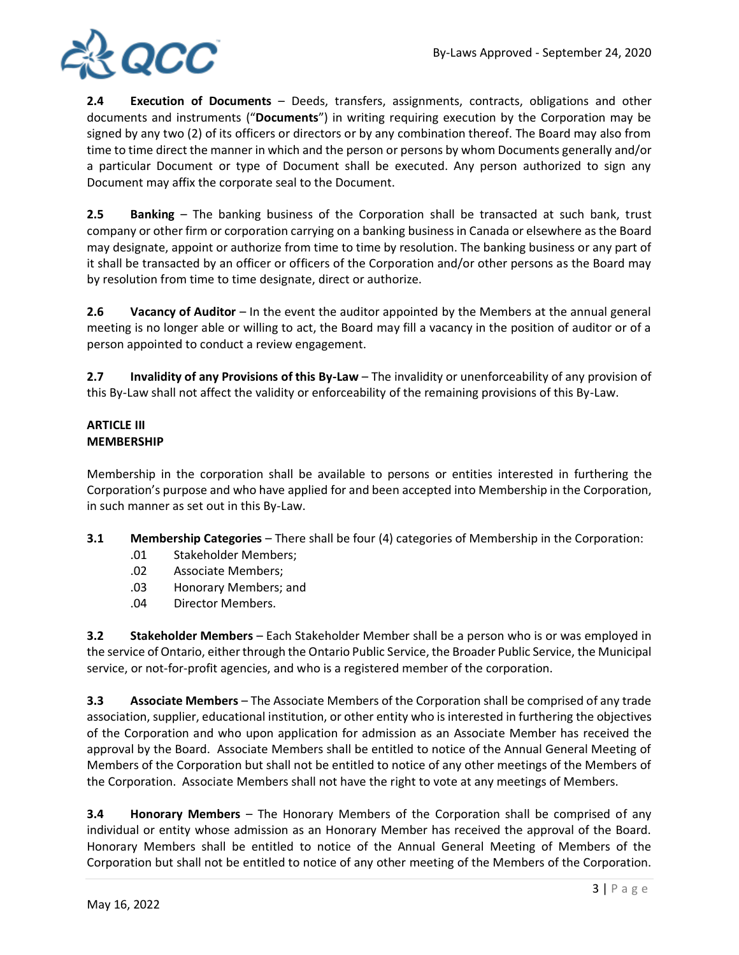

**2.4 Execution of Documents** – Deeds, transfers, assignments, contracts, obligations and other documents and instruments ("**Documents**") in writing requiring execution by the Corporation may be signed by any two (2) of its officers or directors or by any combination thereof. The Board may also from time to time direct the manner in which and the person or persons by whom Documents generally and/or a particular Document or type of Document shall be executed. Any person authorized to sign any Document may affix the corporate seal to the Document.

**2.5 Banking** – The banking business of the Corporation shall be transacted at such bank, trust company or other firm or corporation carrying on a banking business in Canada or elsewhere as the Board may designate, appoint or authorize from time to time by resolution. The banking business or any part of it shall be transacted by an officer or officers of the Corporation and/or other persons as the Board may by resolution from time to time designate, direct or authorize.

**2.6** Vacancy of Auditor – In the event the auditor appointed by the Members at the annual general meeting is no longer able or willing to act, the Board may fill a vacancy in the position of auditor or of a person appointed to conduct a review engagement.

**2.7 Invalidity of any Provisions of this By-Law** – The invalidity or unenforceability of any provision of this By-Law shall not affect the validity or enforceability of the remaining provisions of this By-Law.

# **ARTICLE III MEMBERSHIP**

Membership in the corporation shall be available to persons or entities interested in furthering the Corporation's purpose and who have applied for and been accepted into Membership in the Corporation, in such manner as set out in this By-Law.

- **3.1 Membership Categories** There shall be four (4) categories of Membership in the Corporation:
	- .01 Stakeholder Members;
	- .02 Associate Members;
	- .03 Honorary Members; and
	- .04 Director Members.

**3.2 Stakeholder Members** – Each Stakeholder Member shall be a person who is or was employed in the service of Ontario, either through the Ontario Public Service, the Broader Public Service, the Municipal service, or not-for-profit agencies, and who is a registered member of the corporation.

**3.3 Associate Members** – The Associate Members of the Corporation shall be comprised of any trade association, supplier, educational institution, or other entity who is interested in furthering the objectives of the Corporation and who upon application for admission as an Associate Member has received the approval by the Board. Associate Members shall be entitled to notice of the Annual General Meeting of Members of the Corporation but shall not be entitled to notice of any other meetings of the Members of the Corporation. Associate Members shall not have the right to vote at any meetings of Members.

**3.4 Honorary Members** – The Honorary Members of the Corporation shall be comprised of any individual or entity whose admission as an Honorary Member has received the approval of the Board. Honorary Members shall be entitled to notice of the Annual General Meeting of Members of the Corporation but shall not be entitled to notice of any other meeting of the Members of the Corporation.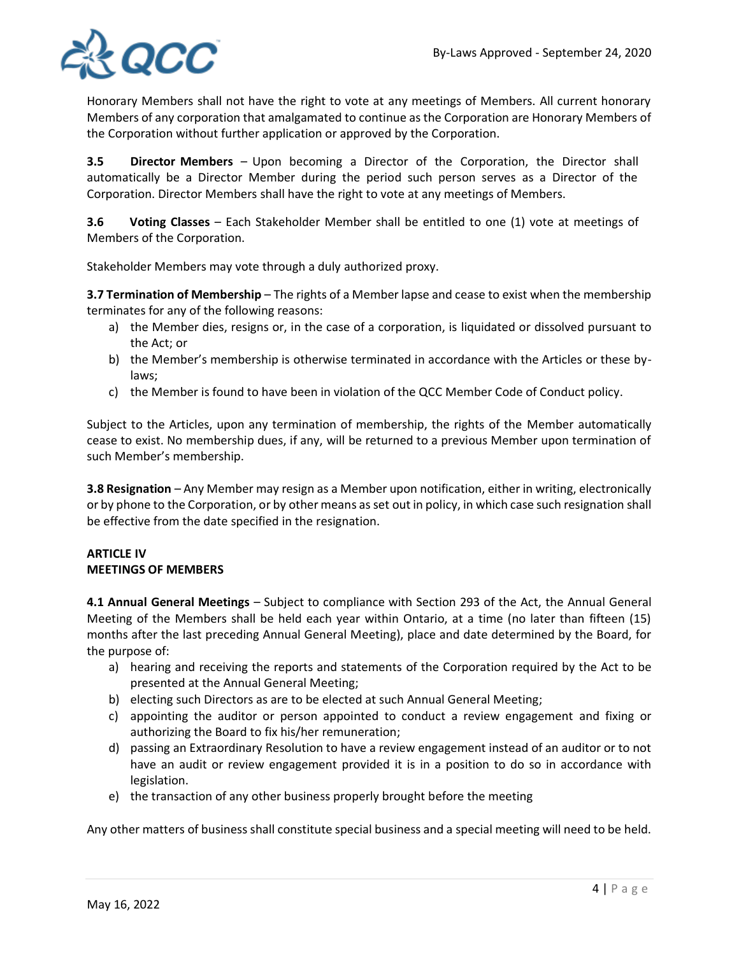

Honorary Members shall not have the right to vote at any meetings of Members. All current honorary Members of any corporation that amalgamated to continue as the Corporation are Honorary Members of the Corporation without further application or approved by the Corporation.

**3.5 Director Members** – Upon becoming a Director of the Corporation, the Director shall automatically be a Director Member during the period such person serves as a Director of the Corporation. Director Members shall have the right to vote at any meetings of Members.

**3.6 Voting Classes** – Each Stakeholder Member shall be entitled to one (1) vote at meetings of Members of the Corporation.

Stakeholder Members may vote through a duly authorized proxy.

**3.7 Termination of Membership** – The rights of a Member lapse and cease to exist when the membership terminates for any of the following reasons:

- a) the Member dies, resigns or, in the case of a corporation, is liquidated or dissolved pursuant to the Act; or
- b) the Member's membership is otherwise terminated in accordance with the Articles or these bylaws;
- c) the Member is found to have been in violation of the QCC Member Code of Conduct policy.

Subject to the Articles, upon any termination of membership, the rights of the Member automatically cease to exist. No membership dues, if any, will be returned to a previous Member upon termination of such Member's membership.

**3.8 Resignation** – Any Member may resign as a Member upon notification, either in writing, electronically or by phone to the Corporation, or by other means as set out in policy, in which case such resignation shall be effective from the date specified in the resignation.

## **ARTICLE IV MEETINGS OF MEMBERS**

**4.1 Annual General Meetings** – Subject to compliance with Section 293 of the Act, the Annual General Meeting of the Members shall be held each year within Ontario, at a time (no later than fifteen (15) months after the last preceding Annual General Meeting), place and date determined by the Board, for the purpose of:

- a) hearing and receiving the reports and statements of the Corporation required by the Act to be presented at the Annual General Meeting;
- b) electing such Directors as are to be elected at such Annual General Meeting;
- c) appointing the auditor or person appointed to conduct a review engagement and fixing or authorizing the Board to fix his/her remuneration;
- d) passing an Extraordinary Resolution to have a review engagement instead of an auditor or to not have an audit or review engagement provided it is in a position to do so in accordance with legislation.
- e) the transaction of any other business properly brought before the meeting

Any other matters of business shall constitute special business and a special meeting will need to be held.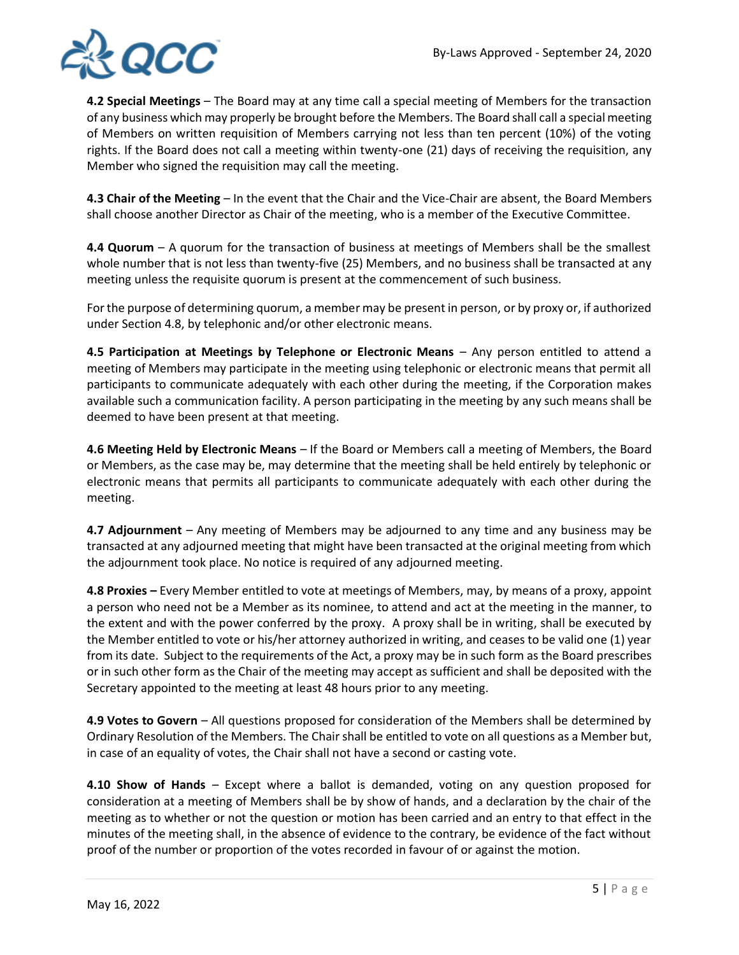

**4.2 Special Meetings** – The Board may at any time call a special meeting of Members for the transaction of any business which may properly be brought before the Members. The Board shall call a special meeting of Members on written requisition of Members carrying not less than ten percent (10%) of the voting rights. If the Board does not call a meeting within twenty-one (21) days of receiving the requisition, any Member who signed the requisition may call the meeting.

**4.3 Chair of the Meeting** – In the event that the Chair and the Vice-Chair are absent, the Board Members shall choose another Director as Chair of the meeting, who is a member of the Executive Committee.

**4.4 Quorum** – A quorum for the transaction of business at meetings of Members shall be the smallest whole number that is not less than twenty-five (25) Members, and no business shall be transacted at any meeting unless the requisite quorum is present at the commencement of such business.

For the purpose of determining quorum, a member may be present in person, or by proxy or, if authorized under Section 4.8, by telephonic and/or other electronic means.

**4.5 Participation at Meetings by Telephone or Electronic Means – Any person entitled to attend a** meeting of Members may participate in the meeting using telephonic or electronic means that permit all participants to communicate adequately with each other during the meeting, if the Corporation makes available such a communication facility. A person participating in the meeting by any such means shall be deemed to have been present at that meeting.

**4.6 Meeting Held by Electronic Means** – If the Board or Members call a meeting of Members, the Board or Members, as the case may be, may determine that the meeting shall be held entirely by telephonic or electronic means that permits all participants to communicate adequately with each other during the meeting.

**4.7 Adjournment** – Any meeting of Members may be adjourned to any time and any business may be transacted at any adjourned meeting that might have been transacted at the original meeting from which the adjournment took place. No notice is required of any adjourned meeting.

**4.8 Proxies –** Every Member entitled to vote at meetings of Members, may, by means of a proxy, appoint a person who need not be a Member as its nominee, to attend and act at the meeting in the manner, to the extent and with the power conferred by the proxy. A proxy shall be in writing, shall be executed by the Member entitled to vote or his/her attorney authorized in writing, and ceases to be valid one (1) year from its date. Subject to the requirements of the Act, a proxy may be in such form as the Board prescribes or in such other form as the Chair of the meeting may accept as sufficient and shall be deposited with the Secretary appointed to the meeting at least 48 hours prior to any meeting.

**4.9 Votes to Govern** – All questions proposed for consideration of the Members shall be determined by Ordinary Resolution of the Members. The Chair shall be entitled to vote on all questions as a Member but, in case of an equality of votes, the Chair shall not have a second or casting vote.

**4.10 Show of Hands** – Except where a ballot is demanded, voting on any question proposed for consideration at a meeting of Members shall be by show of hands, and a declaration by the chair of the meeting as to whether or not the question or motion has been carried and an entry to that effect in the minutes of the meeting shall, in the absence of evidence to the contrary, be evidence of the fact without proof of the number or proportion of the votes recorded in favour of or against the motion.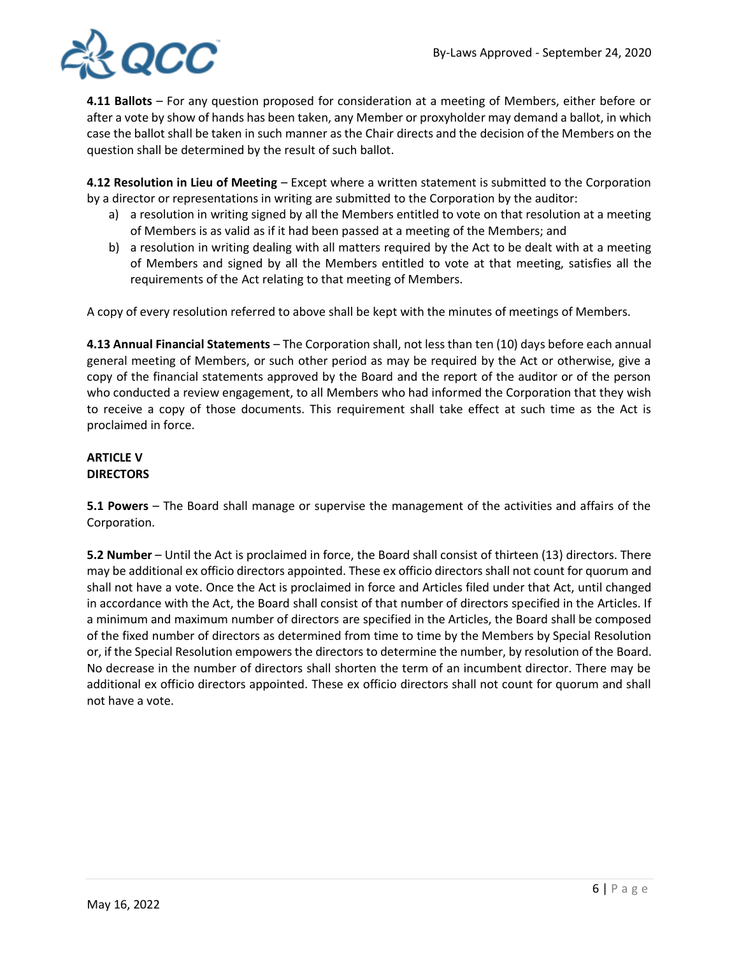

**4.11 Ballots** – For any question proposed for consideration at a meeting of Members, either before or after a vote by show of hands has been taken, any Member or proxyholder may demand a ballot, in which case the ballot shall be taken in such manner as the Chair directs and the decision of the Members on the question shall be determined by the result of such ballot.

**4.12 Resolution in Lieu of Meeting** – Except where a written statement is submitted to the Corporation by a director or representations in writing are submitted to the Corporation by the auditor:

- a) a resolution in writing signed by all the Members entitled to vote on that resolution at a meeting of Members is as valid as if it had been passed at a meeting of the Members; and
- b) a resolution in writing dealing with all matters required by the Act to be dealt with at a meeting of Members and signed by all the Members entitled to vote at that meeting, satisfies all the requirements of the Act relating to that meeting of Members.

A copy of every resolution referred to above shall be kept with the minutes of meetings of Members.

**4.13 Annual Financial Statements** – The Corporation shall, not less than ten (10) days before each annual general meeting of Members, or such other period as may be required by the Act or otherwise, give a copy of the financial statements approved by the Board and the report of the auditor or of the person who conducted a review engagement, to all Members who had informed the Corporation that they wish to receive a copy of those documents. This requirement shall take effect at such time as the Act is proclaimed in force.

#### **ARTICLE V DIRECTORS**

**5.1 Powers** – The Board shall manage or supervise the management of the activities and affairs of the Corporation.

**5.2 Number** – Until the Act is proclaimed in force, the Board shall consist of thirteen (13) directors. There may be additional ex officio directors appointed. These ex officio directors shall not count for quorum and shall not have a vote. Once the Act is proclaimed in force and Articles filed under that Act, until changed in accordance with the Act, the Board shall consist of that number of directors specified in the Articles. If a minimum and maximum number of directors are specified in the Articles, the Board shall be composed of the fixed number of directors as determined from time to time by the Members by Special Resolution or, if the Special Resolution empowers the directors to determine the number, by resolution of the Board. No decrease in the number of directors shall shorten the term of an incumbent director. There may be additional ex officio directors appointed. These ex officio directors shall not count for quorum and shall not have a vote.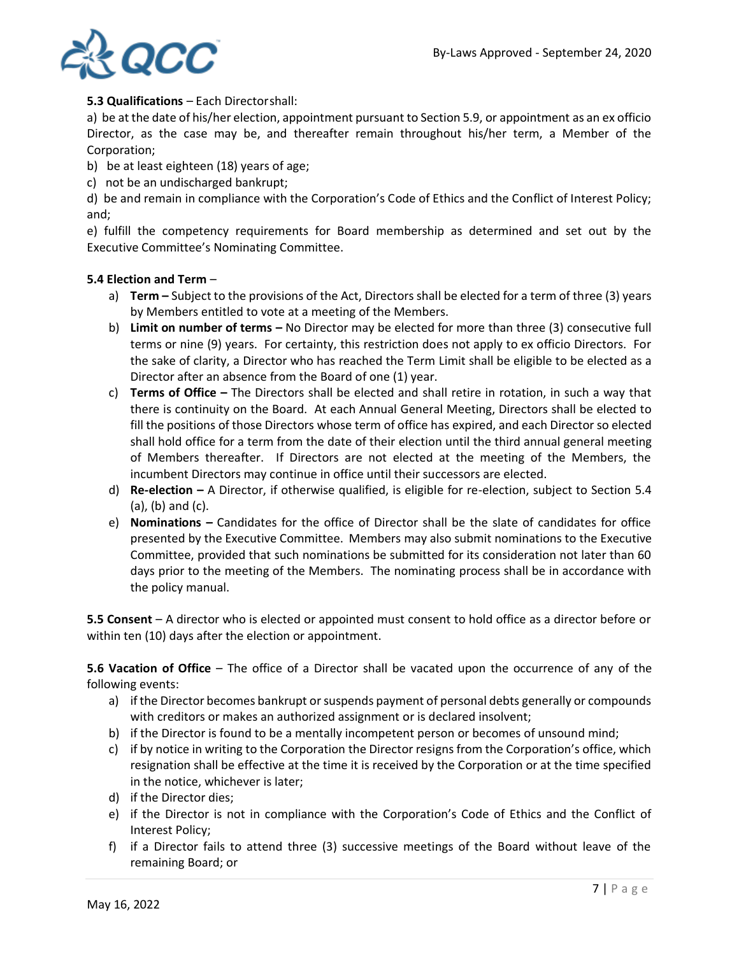

## **5.3 Qualifications** – Each Directorshall:

a) be at the date of his/her election, appointment pursuant to Section 5.9, or appointment as an ex officio Director, as the case may be, and thereafter remain throughout his/her term, a Member of the Corporation;

- b) be at least eighteen (18) years of age;
- c) not be an undischarged bankrupt;

d) be and remain in compliance with the Corporation's Code of Ethics and the Conflict of Interest Policy; and;

e) fulfill the competency requirements for Board membership as determined and set out by the Executive Committee's Nominating Committee.

## **5.4 Election and Term** –

- a) **Term –** Subject to the provisions of the Act, Directors shall be elected for a term of three (3) years by Members entitled to vote at a meeting of the Members.
- b) **Limit on number of terms –** No Director may be elected for more than three (3) consecutive full terms or nine (9) years. For certainty, this restriction does not apply to ex officio Directors. For the sake of clarity, a Director who has reached the Term Limit shall be eligible to be elected as a Director after an absence from the Board of one (1) year.
- c) **Terms of Office –** The Directors shall be elected and shall retire in rotation, in such a way that there is continuity on the Board. At each Annual General Meeting, Directors shall be elected to fill the positions of those Directors whose term of office has expired, and each Director so elected shall hold office for a term from the date of their election until the third annual general meeting of Members thereafter. If Directors are not elected at the meeting of the Members, the incumbent Directors may continue in office until their successors are elected.
- d) **Re-election –** A Director, if otherwise qualified, is eligible for re-election, subject to Section 5.4 (a), (b) and (c).
- e) **Nominations –** Candidates for the office of Director shall be the slate of candidates for office presented by the Executive Committee. Members may also submit nominations to the Executive Committee, provided that such nominations be submitted for its consideration not later than 60 days prior to the meeting of the Members. The nominating process shall be in accordance with the policy manual.

**5.5 Consent** – A director who is elected or appointed must consent to hold office as a director before or within ten (10) days after the election or appointment.

**5.6 Vacation of Office** – The office of a Director shall be vacated upon the occurrence of any of the following events:

- a) if the Director becomes bankrupt or suspends payment of personal debts generally or compounds with creditors or makes an authorized assignment or is declared insolvent;
- b) if the Director is found to be a mentally incompetent person or becomes of unsound mind;
- c) if by notice in writing to the Corporation the Director resigns from the Corporation's office, which resignation shall be effective at the time it is received by the Corporation or at the time specified in the notice, whichever is later;
- d) if the Director dies;
- e) if the Director is not in compliance with the Corporation's Code of Ethics and the Conflict of Interest Policy;
- f) if a Director fails to attend three (3) successive meetings of the Board without leave of the remaining Board; or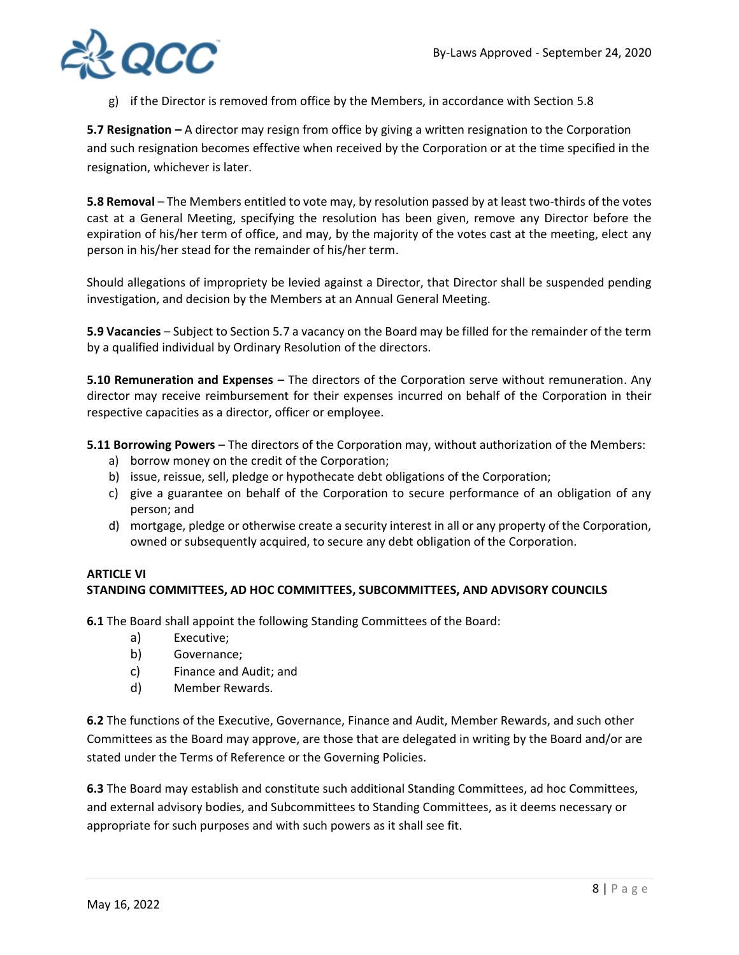

g) if the Director is removed from office by the Members, in accordance with Section 5.8

**5.7 Resignation** *–* A director may resign from office by giving a written resignation to the Corporation and such resignation becomes effective when received by the Corporation or at the time specified in the resignation, whichever is later.

**5.8 Removal** – The Members entitled to vote may, by resolution passed by at least two-thirds of the votes cast at a General Meeting, specifying the resolution has been given, remove any Director before the expiration of his/her term of office, and may, by the majority of the votes cast at the meeting, elect any person in his/her stead for the remainder of his/her term.

Should allegations of impropriety be levied against a Director, that Director shall be suspended pending investigation, and decision by the Members at an Annual General Meeting.

**5.9 Vacancies** – Subject to Section 5.7 a vacancy on the Board may be filled for the remainder of the term by a qualified individual by Ordinary Resolution of the directors.

**5.10 Remuneration and Expenses** – The directors of the Corporation serve without remuneration. Any director may receive reimbursement for their expenses incurred on behalf of the Corporation in their respective capacities as a director, officer or employee.

**5.11 Borrowing Powers** – The directors of the Corporation may, without authorization of the Members:

- a) borrow money on the credit of the Corporation;
- b) issue, reissue, sell, pledge or hypothecate debt obligations of the Corporation;
- c) give a guarantee on behalf of the Corporation to secure performance of an obligation of any person; and
- d) mortgage, pledge or otherwise create a security interest in all or any property of the Corporation, owned or subsequently acquired, to secure any debt obligation of the Corporation.

# **ARTICLE VI STANDING COMMITTEES, AD HOC COMMITTEES, SUBCOMMITTEES, AND ADVISORY COUNCILS**

**6.1** The Board shall appoint the following Standing Committees of the Board:

- a) Executive;
- b) Governance;
- c) Finance and Audit; and
- d) Member Rewards.

**6.2** The functions of the Executive, Governance, Finance and Audit, Member Rewards, and such other Committees as the Board may approve, are those that are delegated in writing by the Board and/or are stated under the Terms of Reference or the Governing Policies.

**6.3** The Board may establish and constitute such additional Standing Committees, ad hoc Committees, and external advisory bodies, and Subcommittees to Standing Committees, as it deems necessary or appropriate for such purposes and with such powers as it shall see fit.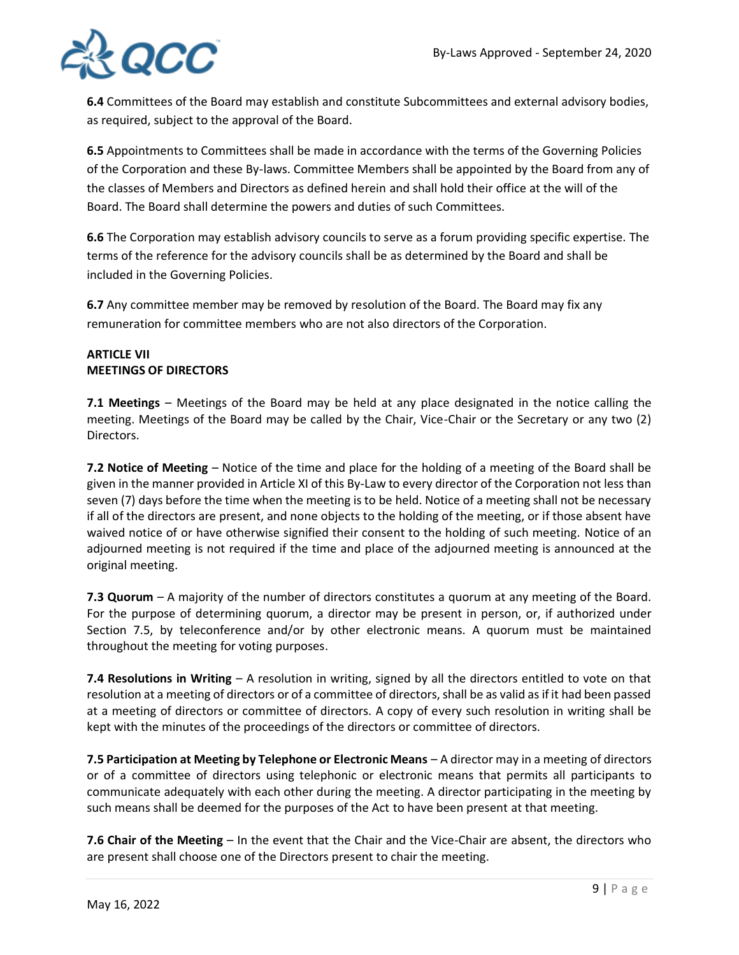

**6.4** Committees of the Board may establish and constitute Subcommittees and external advisory bodies, as required, subject to the approval of the Board.

**6.5** Appointments to Committees shall be made in accordance with the terms of the Governing Policies of the Corporation and these By-laws. Committee Members shall be appointed by the Board from any of the classes of Members and Directors as defined herein and shall hold their office at the will of the Board. The Board shall determine the powers and duties of such Committees.

**6.6** The Corporation may establish advisory councils to serve as a forum providing specific expertise. The terms of the reference for the advisory councils shall be as determined by the Board and shall be included in the Governing Policies.

**6.7** Any committee member may be removed by resolution of the Board. The Board may fix any remuneration for committee members who are not also directors of the Corporation.

## **ARTICLE VII MEETINGS OF DIRECTORS**

**7.1 Meetings** – Meetings of the Board may be held at any place designated in the notice calling the meeting. Meetings of the Board may be called by the Chair, Vice-Chair or the Secretary or any two (2) Directors.

**7.2 Notice of Meeting** – Notice of the time and place for the holding of a meeting of the Board shall be given in the manner provided in Article XI of this By-Law to every director of the Corporation not less than seven (7) days before the time when the meeting is to be held. Notice of a meeting shall not be necessary if all of the directors are present, and none objects to the holding of the meeting, or if those absent have waived notice of or have otherwise signified their consent to the holding of such meeting. Notice of an adjourned meeting is not required if the time and place of the adjourned meeting is announced at the original meeting.

**7.3 Quorum** – A majority of the number of directors constitutes a quorum at any meeting of the Board. For the purpose of determining quorum, a director may be present in person, or, if authorized under Section 7.5, by teleconference and/or by other electronic means. A quorum must be maintained throughout the meeting for voting purposes.

**7.4 Resolutions in Writing** – A resolution in writing, signed by all the directors entitled to vote on that resolution at a meeting of directors or of a committee of directors, shall be as valid as if it had been passed at a meeting of directors or committee of directors. A copy of every such resolution in writing shall be kept with the minutes of the proceedings of the directors or committee of directors.

**7.5 Participation at Meeting by Telephone or Electronic Means** – A director may in a meeting of directors or of a committee of directors using telephonic or electronic means that permits all participants to communicate adequately with each other during the meeting. A director participating in the meeting by such means shall be deemed for the purposes of the Act to have been present at that meeting.

**7.6 Chair of the Meeting** – In the event that the Chair and the Vice-Chair are absent, the directors who are present shall choose one of the Directors present to chair the meeting.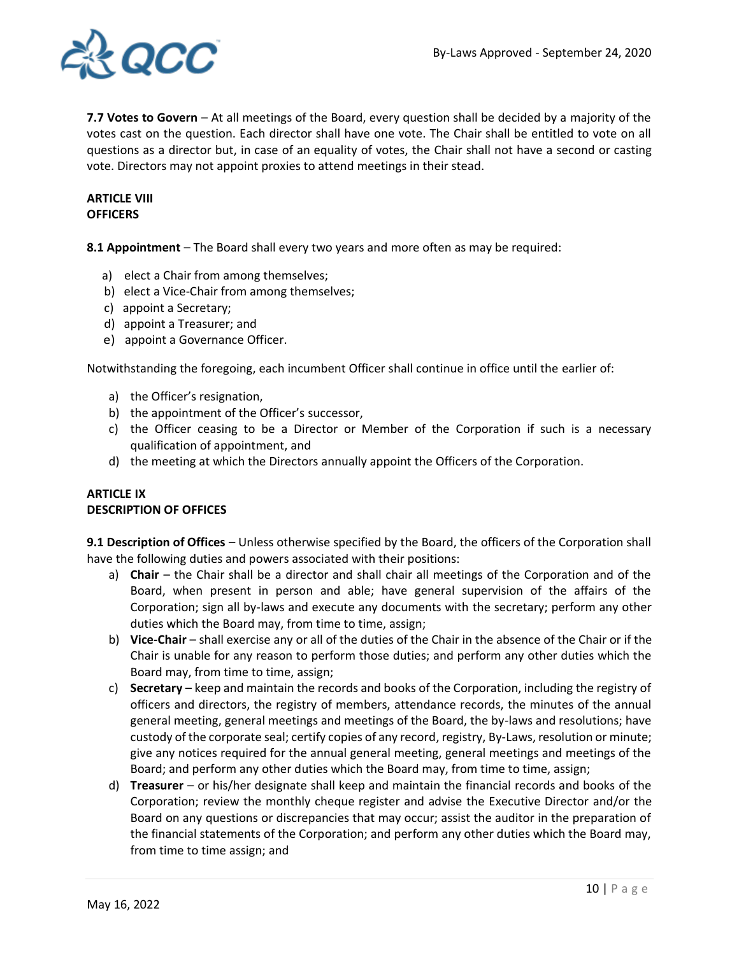

**7.7 Votes to Govern** – At all meetings of the Board, every question shall be decided by a majority of the votes cast on the question. Each director shall have one vote. The Chair shall be entitled to vote on all questions as a director but, in case of an equality of votes, the Chair shall not have a second or casting vote. Directors may not appoint proxies to attend meetings in their stead.

## **ARTICLE VIII OFFICERS**

**8.1 Appointment** – The Board shall every two years and more often as may be required:

- a) elect a Chair from among themselves;
- b) elect a Vice-Chair from among themselves;
- c) appoint a Secretary;
- d) appoint a Treasurer; and
- e) appoint a Governance Officer.

Notwithstanding the foregoing, each incumbent Officer shall continue in office until the earlier of:

- a) the Officer's resignation,
- b) the appointment of the Officer's successor,
- c) the Officer ceasing to be a Director or Member of the Corporation if such is a necessary qualification of appointment, and
- d) the meeting at which the Directors annually appoint the Officers of the Corporation.

## **ARTICLE IX DESCRIPTION OF OFFICES**

**9.1 Description of Offices** – Unless otherwise specified by the Board, the officers of the Corporation shall have the following duties and powers associated with their positions:

- a) **Chair** the Chair shall be a director and shall chair all meetings of the Corporation and of the Board, when present in person and able; have general supervision of the affairs of the Corporation; sign all by-laws and execute any documents with the secretary; perform any other duties which the Board may, from time to time, assign;
- b) **Vice-Chair** shall exercise any or all of the duties of the Chair in the absence of the Chair or if the Chair is unable for any reason to perform those duties; and perform any other duties which the Board may, from time to time, assign;
- c) **Secretary** keep and maintain the records and books of the Corporation, including the registry of officers and directors, the registry of members, attendance records, the minutes of the annual general meeting, general meetings and meetings of the Board, the by-laws and resolutions; have custody of the corporate seal; certify copies of any record, registry, By-Laws, resolution or minute; give any notices required for the annual general meeting, general meetings and meetings of the Board; and perform any other duties which the Board may, from time to time, assign;
- d) **Treasurer** or his/her designate shall keep and maintain the financial records and books of the Corporation; review the monthly cheque register and advise the Executive Director and/or the Board on any questions or discrepancies that may occur; assist the auditor in the preparation of the financial statements of the Corporation; and perform any other duties which the Board may, from time to time assign; and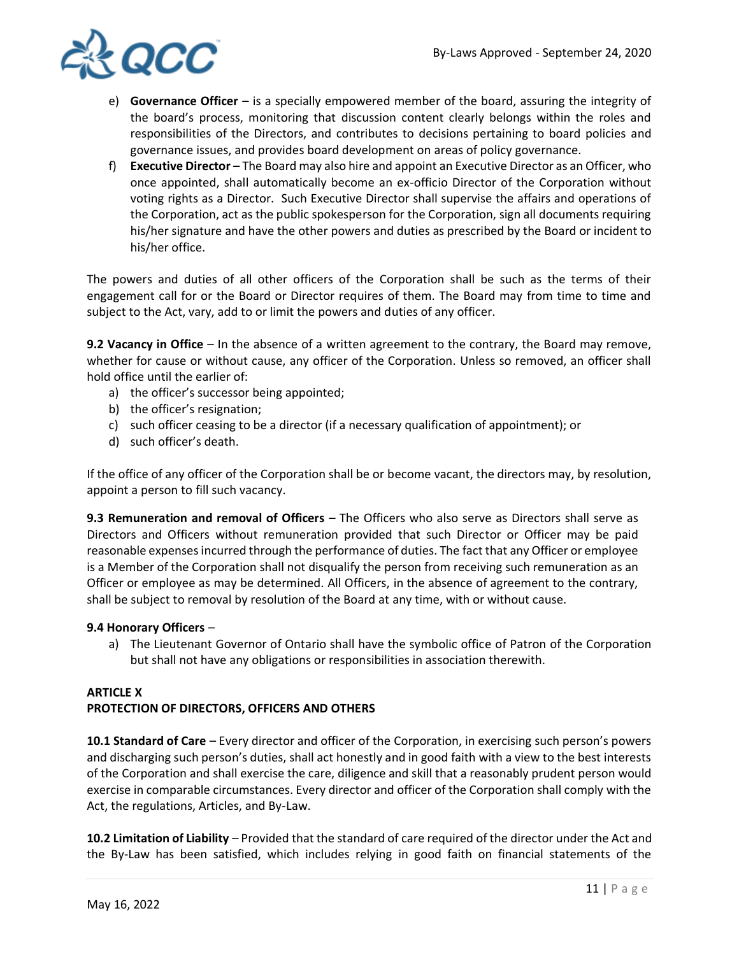

- e) **Governance Officer**  is a specially empowered member of the board, assuring the integrity of the board's process, monitoring that discussion content clearly belongs within the roles and responsibilities of the Directors, and contributes to decisions pertaining to board policies and governance issues, and provides board development on areas of policy governance.
- f) **Executive Director**  The Board may also hire and appoint an Executive Director as an Officer, who once appointed, shall automatically become an ex-officio Director of the Corporation without voting rights as a Director. Such Executive Director shall supervise the affairs and operations of the Corporation, act as the public spokesperson for the Corporation, sign all documents requiring his/her signature and have the other powers and duties as prescribed by the Board or incident to his/her office.

The powers and duties of all other officers of the Corporation shall be such as the terms of their engagement call for or the Board or Director requires of them. The Board may from time to time and subject to the Act, vary, add to or limit the powers and duties of any officer.

**9.2 Vacancy in Office** – In the absence of a written agreement to the contrary, the Board may remove, whether for cause or without cause, any officer of the Corporation. Unless so removed, an officer shall hold office until the earlier of:

- a) the officer's successor being appointed;
- b) the officer's resignation;
- c) such officer ceasing to be a director (if a necessary qualification of appointment); or
- d) such officer's death.

If the office of any officer of the Corporation shall be or become vacant, the directors may, by resolution, appoint a person to fill such vacancy.

**9.3 Remuneration and removal of Officers** – The Officers who also serve as Directors shall serve as Directors and Officers without remuneration provided that such Director or Officer may be paid reasonable expenses incurred through the performance of duties. The fact that any Officer or employee is a Member of the Corporation shall not disqualify the person from receiving such remuneration as an Officer or employee as may be determined. All Officers, in the absence of agreement to the contrary, shall be subject to removal by resolution of the Board at any time, with or without cause.

## **9.4 Honorary Officers** –

a) The Lieutenant Governor of Ontario shall have the symbolic office of Patron of the Corporation but shall not have any obligations or responsibilities in association therewith.

# **ARTICLE X PROTECTION OF DIRECTORS, OFFICERS AND OTHERS**

**10.1 Standard of Care** – Every director and officer of the Corporation, in exercising such person's powers and discharging such person's duties, shall act honestly and in good faith with a view to the best interests of the Corporation and shall exercise the care, diligence and skill that a reasonably prudent person would exercise in comparable circumstances. Every director and officer of the Corporation shall comply with the Act, the regulations, Articles, and By-Law.

**10.2 Limitation of Liability** – Provided that the standard of care required of the director under the Act and the By-Law has been satisfied, which includes relying in good faith on financial statements of the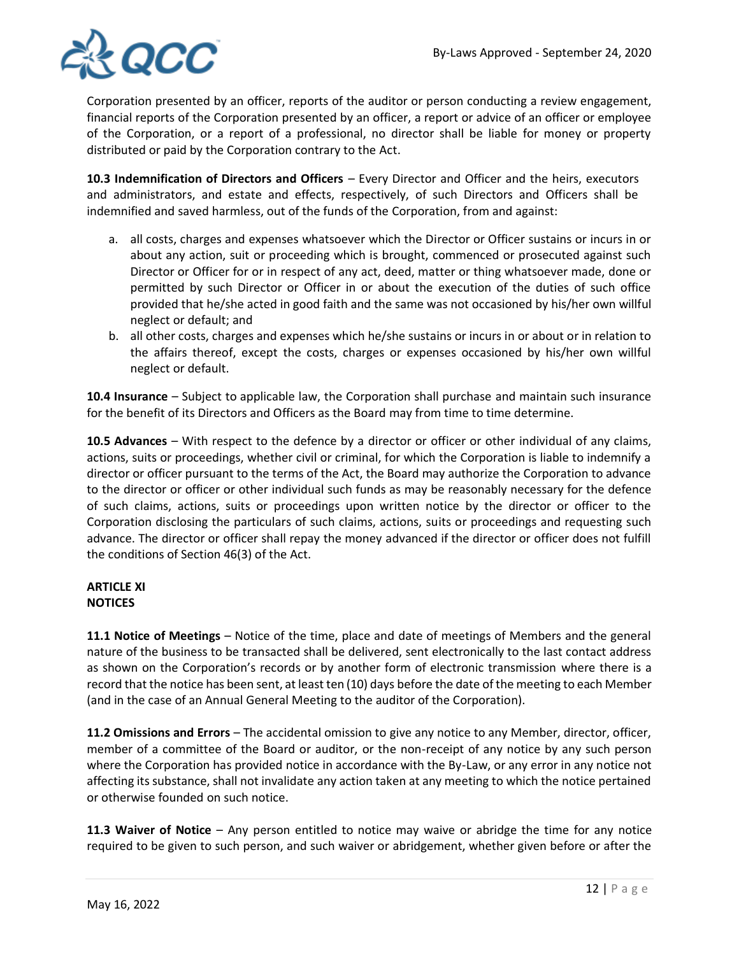

Corporation presented by an officer, reports of the auditor or person conducting a review engagement, financial reports of the Corporation presented by an officer, a report or advice of an officer or employee of the Corporation, or a report of a professional, no director shall be liable for money or property distributed or paid by the Corporation contrary to the Act.

**10.3 Indemnification of Directors and Officers** – Every Director and Officer and the heirs, executors and administrators, and estate and effects, respectively, of such Directors and Officers shall be indemnified and saved harmless, out of the funds of the Corporation, from and against:

- a. all costs, charges and expenses whatsoever which the Director or Officer sustains or incurs in or about any action, suit or proceeding which is brought, commenced or prosecuted against such Director or Officer for or in respect of any act, deed, matter or thing whatsoever made, done or permitted by such Director or Officer in or about the execution of the duties of such office provided that he/she acted in good faith and the same was not occasioned by his/her own willful neglect or default; and
- b. all other costs, charges and expenses which he/she sustains or incurs in or about or in relation to the affairs thereof, except the costs, charges or expenses occasioned by his/her own willful neglect or default.

**10.4 Insurance** – Subject to applicable law, the Corporation shall purchase and maintain such insurance for the benefit of its Directors and Officers as the Board may from time to time determine.

**10.5 Advances** – With respect to the defence by a director or officer or other individual of any claims, actions, suits or proceedings, whether civil or criminal, for which the Corporation is liable to indemnify a director or officer pursuant to the terms of the Act, the Board may authorize the Corporation to advance to the director or officer or other individual such funds as may be reasonably necessary for the defence of such claims, actions, suits or proceedings upon written notice by the director or officer to the Corporation disclosing the particulars of such claims, actions, suits or proceedings and requesting such advance. The director or officer shall repay the money advanced if the director or officer does not fulfill the conditions of Section 46(3) of the Act.

## **ARTICLE XI NOTICES**

**11.1 Notice of Meetings** – Notice of the time, place and date of meetings of Members and the general nature of the business to be transacted shall be delivered, sent electronically to the last contact address as shown on the Corporation's records or by another form of electronic transmission where there is a record that the notice has been sent, at least ten (10) days before the date of the meeting to each Member (and in the case of an Annual General Meeting to the auditor of the Corporation).

**11.2 Omissions and Errors** – The accidental omission to give any notice to any Member, director, officer, member of a committee of the Board or auditor, or the non-receipt of any notice by any such person where the Corporation has provided notice in accordance with the By-Law, or any error in any notice not affecting its substance, shall not invalidate any action taken at any meeting to which the notice pertained or otherwise founded on such notice.

**11.3 Waiver of Notice** – Any person entitled to notice may waive or abridge the time for any notice required to be given to such person, and such waiver or abridgement, whether given before or after the